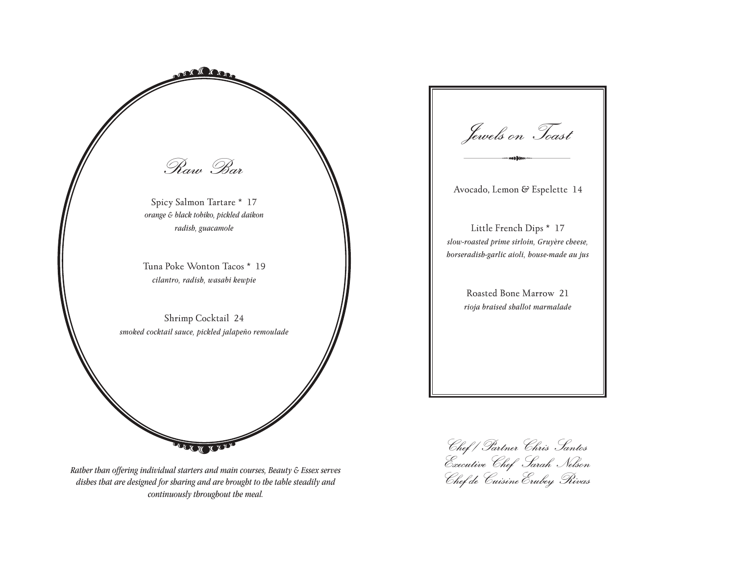Raw Bar

 $\Omega^{(1)}$   $\Omega$ 

Spicy Salmon Tartare \* 17 *orange & black tobiko, pickled daikon radish, guacamole*

Tuna Poke Wonton Tacos \* 19 *cilantro, radish, wasabi kewpie*

Shrimp Cocktail 24 *smoked cocktail sauce, pickled jalapeño remoulade*

*Rather than offering individual starters and main courses, Beauty & Essex serves dishes that are designed for sharing and are brought to the table steadily and continuously throughout the meal.* 

UMNY



Chef / Partner Chris Santos Executive Chef Sarah Nelson Chef de CuisineErubey Rivas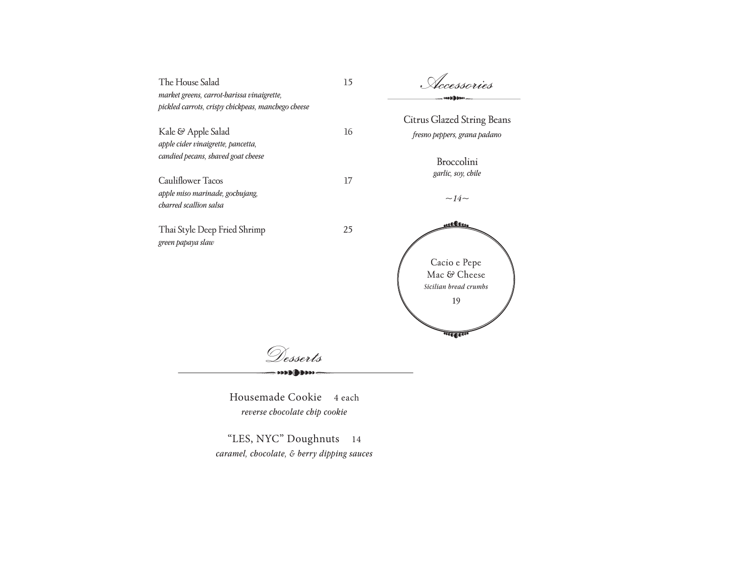Accessories The House Salad 15 *market greens, carrot-harissa vinaigrette, pickled carrots, crispy chickpeas, manchego cheese* Citrus Glazed String Beans Kale & Apple Salad 16 *fresno peppers, grana padano apple cider vinaigrette, pancetta, candied pecans, shaved goat cheese* Broccolini *garlic, soy, chile* Caulifower Tacos 17 *apple miso marinade, gochujang, ~14~ charred scallion salsa* <u>nellen.</u> Thai Style Deep Fried Shrimp 25 *green papaya slaw*  Cacio e Pepe Mac & Cheese *Sicilian bread crumbs* 19  $\overline{u_0}$ Desserts<br><del>====</del>

> Housemade Cookie 4 each *reverse chocolate chip cookie*

"LES, NYC" Doughnuts 14 *caramel, chocolate, & berry dipping sauces*